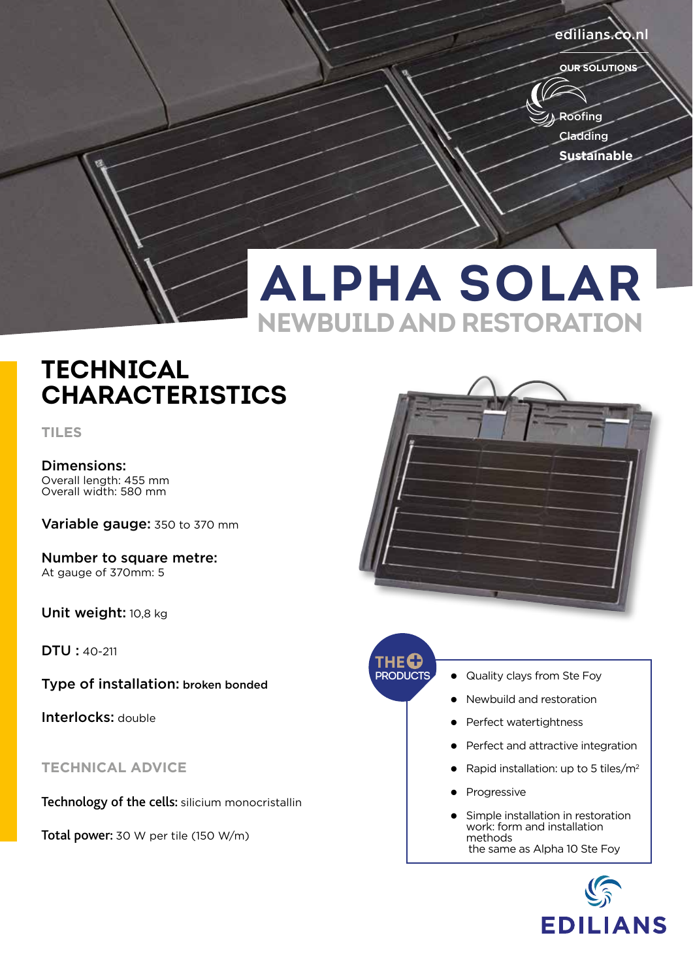#### edilians.co.n

**OUR SOLUTIONS**



# **ALPHA SOLAR NEWBUILD AND RESTORATION**

### **TECHNICAL CHARACTERISTICS**

**TILES**

Dimensions: Overall length: 455 mm Overall width: 580 mm

Variable gauge: 350 to 370 mm

Number to square metre: At gauge of 370mm: 5

Unit weight: 10,8 kg

DTU : 40-211

Type of installation: broken bonded

Interlocks: double

**TECHNICAL ADVICE**

Technology of the cells: silicium monocristallin

Total power: 30 W per tile (150 W/m)





- **Quality clays from Ste Foy**
- Newbuild and restoration
- l Perfect watertightness
- Perfect and attractive integration
- Rapid installation: up to 5 tiles/m<sup>2</sup>
- Progressive
- Simple installation in restoration work: form and installation methods the same as Alpha 10 Ste Foy